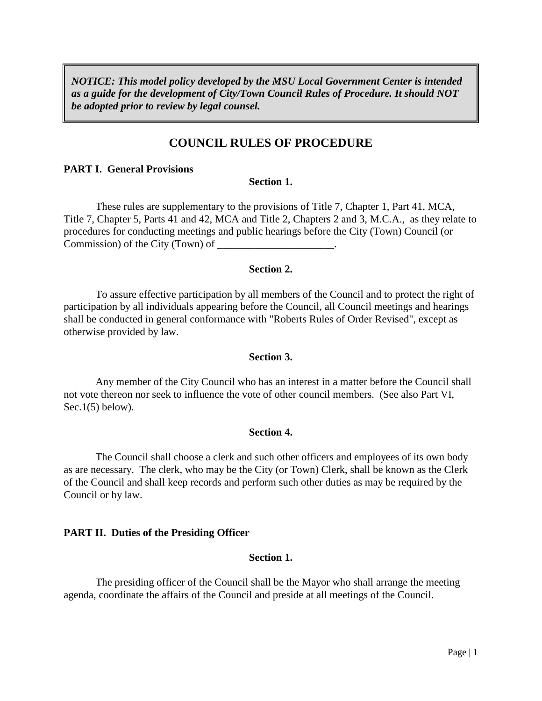*NOTICE: This model policy developed by the MSU Local Government Center is intended as a guide for the development of City/Town Council Rules of Procedure. It should NOT be adopted prior to review by legal counsel.* 

# **COUNCIL RULES OF PROCEDURE**

#### **PART I. General Provisions**

#### **Section 1.**

These rules are supplementary to the provisions of Title 7, Chapter 1, Part 41, MCA, Title 7, Chapter 5, Parts 41 and 42, MCA and Title 2, Chapters 2 and 3, M.C.A., as they relate to procedures for conducting meetings and public hearings before the City (Town) Council (or Commission) of the City (Town) of

## **Section 2.**

To assure effective participation by all members of the Council and to protect the right of participation by all individuals appearing before the Council, all Council meetings and hearings shall be conducted in general conformance with "Roberts Rules of Order Revised", except as otherwise provided by law.

## **Section 3.**

Any member of the City Council who has an interest in a matter before the Council shall not vote thereon nor seek to influence the vote of other council members. (See also Part VI, Sec.1 $(5)$  below).

## **Section 4.**

The Council shall choose a clerk and such other officers and employees of its own body as are necessary. The clerk, who may be the City (or Town) Clerk, shall be known as the Clerk of the Council and shall keep records and perform such other duties as may be required by the Council or by law.

## **PART II. Duties of the Presiding Officer**

#### **Section 1.**

The presiding officer of the Council shall be the Mayor who shall arrange the meeting agenda, coordinate the affairs of the Council and preside at all meetings of the Council.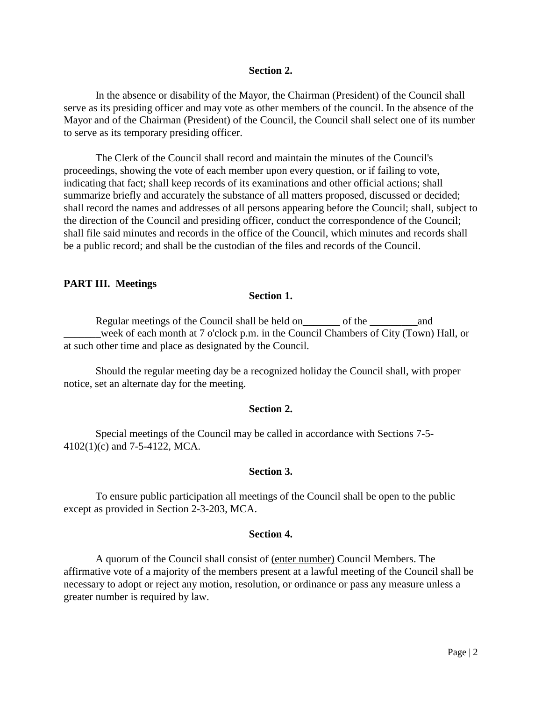#### **Section 2.**

In the absence or disability of the Mayor, the Chairman (President) of the Council shall serve as its presiding officer and may vote as other members of the council. In the absence of the Mayor and of the Chairman (President) of the Council, the Council shall select one of its number to serve as its temporary presiding officer.

The Clerk of the Council shall record and maintain the minutes of the Council's proceedings, showing the vote of each member upon every question, or if failing to vote, indicating that fact; shall keep records of its examinations and other official actions; shall summarize briefly and accurately the substance of all matters proposed, discussed or decided; shall record the names and addresses of all persons appearing before the Council; shall, subject to the direction of the Council and presiding officer, conduct the correspondence of the Council; shall file said minutes and records in the office of the Council, which minutes and records shall be a public record; and shall be the custodian of the files and records of the Council.

#### **PART III. Meetings**

#### **Section 1.**

Regular meetings of the Council shall be held on\_\_\_\_\_\_\_\_\_ of the \_\_\_\_\_\_\_\_\_\_\_\_\_\_\_\_ \_\_\_\_\_\_\_week of each month at 7 o'clock p.m. in the Council Chambers of City (Town) Hall, or at such other time and place as designated by the Council.

Should the regular meeting day be a recognized holiday the Council shall, with proper notice, set an alternate day for the meeting.

## **Section 2.**

Special meetings of the Council may be called in accordance with Sections 7-5- 4102(1)(c) and 7-5-4122, MCA.

#### **Section 3.**

To ensure public participation all meetings of the Council shall be open to the public except as provided in Section 2-3-203, MCA.

#### **Section 4.**

A quorum of the Council shall consist of (enter number) Council Members. The affirmative vote of a majority of the members present at a lawful meeting of the Council shall be necessary to adopt or reject any motion, resolution, or ordinance or pass any measure unless a greater number is required by law.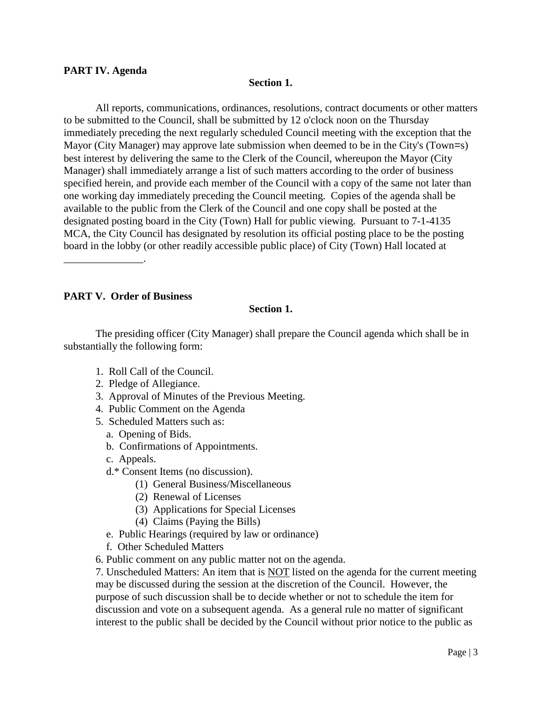## **PART IV. Agenda**

## **Section 1.**

All reports, communications, ordinances, resolutions, contract documents or other matters to be submitted to the Council, shall be submitted by 12 o'clock noon on the Thursday immediately preceding the next regularly scheduled Council meeting with the exception that the Mayor (City Manager) may approve late submission when deemed to be in the City's (Town=s) best interest by delivering the same to the Clerk of the Council, whereupon the Mayor (City Manager) shall immediately arrange a list of such matters according to the order of business specified herein, and provide each member of the Council with a copy of the same not later than one working day immediately preceding the Council meeting. Copies of the agenda shall be available to the public from the Clerk of the Council and one copy shall be posted at the designated posting board in the City (Town) Hall for public viewing. Pursuant to 7-1-4135 MCA, the City Council has designated by resolution its official posting place to be the posting board in the lobby (or other readily accessible public place) of City (Town) Hall located at

**PART V. Order of Business**

\_\_\_\_\_\_\_\_\_\_\_\_\_\_\_.

## **Section 1.**

The presiding officer (City Manager) shall prepare the Council agenda which shall be in substantially the following form:

- 1. Roll Call of the Council.
- 2. Pledge of Allegiance.
- 3. Approval of Minutes of the Previous Meeting.
- 4. Public Comment on the Agenda
- 5. Scheduled Matters such as:
	- a. Opening of Bids.
	- b. Confirmations of Appointments.
	- c. Appeals.
	- d.\* Consent Items (no discussion).
		- (1) General Business/Miscellaneous
		- (2) Renewal of Licenses
		- (3) Applications for Special Licenses
		- (4) Claims (Paying the Bills)
	- e. Public Hearings (required by law or ordinance)
	- f. Other Scheduled Matters
- 6. Public comment on any public matter not on the agenda.

7. Unscheduled Matters: An item that is NOT listed on the agenda for the current meeting may be discussed during the session at the discretion of the Council. However, the purpose of such discussion shall be to decide whether or not to schedule the item for discussion and vote on a subsequent agenda. As a general rule no matter of significant interest to the public shall be decided by the Council without prior notice to the public as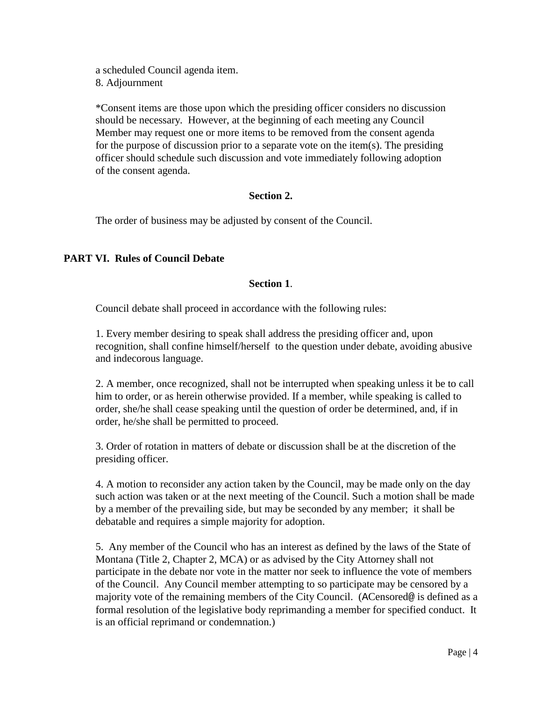a scheduled Council agenda item. 8. Adjournment

\*Consent items are those upon which the presiding officer considers no discussion should be necessary. However, at the beginning of each meeting any Council Member may request one or more items to be removed from the consent agenda for the purpose of discussion prior to a separate vote on the item(s). The presiding officer should schedule such discussion and vote immediately following adoption of the consent agenda.

## **Section 2.**

The order of business may be adjusted by consent of the Council.

## **PART VI. Rules of Council Debate**

## **Section 1**.

Council debate shall proceed in accordance with the following rules:

1. Every member desiring to speak shall address the presiding officer and, upon recognition, shall confine himself/herself to the question under debate, avoiding abusive and indecorous language.

2. A member, once recognized, shall not be interrupted when speaking unless it be to call him to order, or as herein otherwise provided. If a member, while speaking is called to order, she/he shall cease speaking until the question of order be determined, and, if in order, he/she shall be permitted to proceed.

3. Order of rotation in matters of debate or discussion shall be at the discretion of the presiding officer.

4. A motion to reconsider any action taken by the Council, may be made only on the day such action was taken or at the next meeting of the Council. Such a motion shall be made by a member of the prevailing side, but may be seconded by any member; it shall be debatable and requires a simple majority for adoption.

5. Any member of the Council who has an interest as defined by the laws of the State of Montana (Title 2, Chapter 2, MCA) or as advised by the City Attorney shall not participate in the debate nor vote in the matter nor seek to influence the vote of members of the Council. Any Council member attempting to so participate may be censored by a majority vote of the remaining members of the City Council. (ACensored@ is defined as a formal resolution of the legislative body reprimanding a member for specified conduct. It is an official reprimand or condemnation.)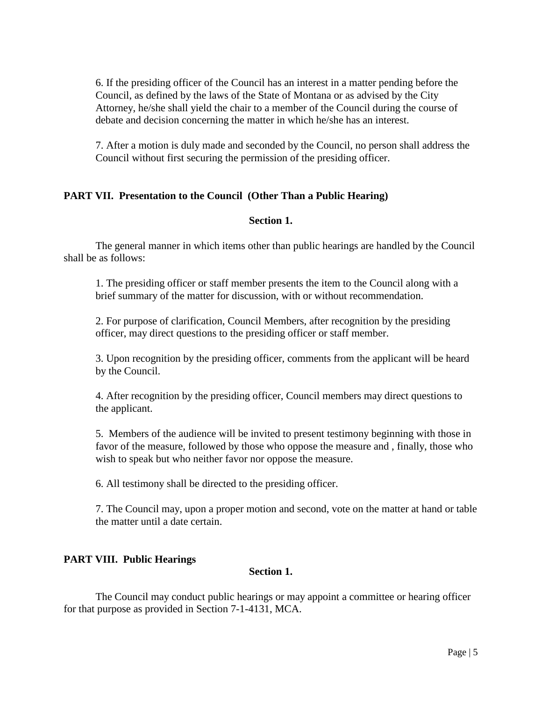6. If the presiding officer of the Council has an interest in a matter pending before the Council, as defined by the laws of the State of Montana or as advised by the City Attorney, he/she shall yield the chair to a member of the Council during the course of debate and decision concerning the matter in which he/she has an interest.

7. After a motion is duly made and seconded by the Council, no person shall address the Council without first securing the permission of the presiding officer.

## **PART VII. Presentation to the Council (Other Than a Public Hearing)**

## **Section 1.**

The general manner in which items other than public hearings are handled by the Council shall be as follows:

1. The presiding officer or staff member presents the item to the Council along with a brief summary of the matter for discussion, with or without recommendation.

2. For purpose of clarification, Council Members, after recognition by the presiding officer, may direct questions to the presiding officer or staff member.

3. Upon recognition by the presiding officer, comments from the applicant will be heard by the Council.

4. After recognition by the presiding officer, Council members may direct questions to the applicant.

5. Members of the audience will be invited to present testimony beginning with those in favor of the measure, followed by those who oppose the measure and , finally, those who wish to speak but who neither favor nor oppose the measure.

6. All testimony shall be directed to the presiding officer.

7. The Council may, upon a proper motion and second, vote on the matter at hand or table the matter until a date certain.

## **PART VIII. Public Hearings**

# **Section 1.**

The Council may conduct public hearings or may appoint a committee or hearing officer for that purpose as provided in Section 7-1-4131, MCA.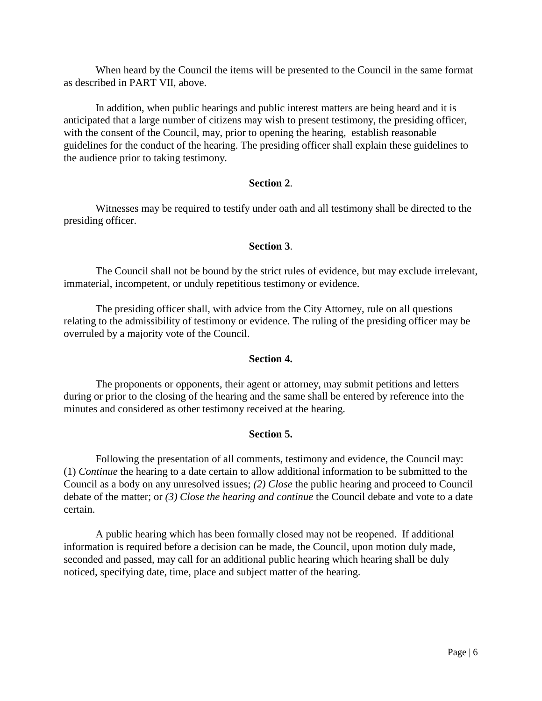When heard by the Council the items will be presented to the Council in the same format as described in PART VII, above.

In addition, when public hearings and public interest matters are being heard and it is anticipated that a large number of citizens may wish to present testimony, the presiding officer, with the consent of the Council, may, prior to opening the hearing, establish reasonable guidelines for the conduct of the hearing. The presiding officer shall explain these guidelines to the audience prior to taking testimony.

## **Section 2**.

Witnesses may be required to testify under oath and all testimony shall be directed to the presiding officer.

## **Section 3**.

The Council shall not be bound by the strict rules of evidence, but may exclude irrelevant, immaterial, incompetent, or unduly repetitious testimony or evidence.

The presiding officer shall, with advice from the City Attorney, rule on all questions relating to the admissibility of testimony or evidence. The ruling of the presiding officer may be overruled by a majority vote of the Council.

## **Section 4.**

The proponents or opponents, their agent or attorney, may submit petitions and letters during or prior to the closing of the hearing and the same shall be entered by reference into the minutes and considered as other testimony received at the hearing.

## **Section 5.**

Following the presentation of all comments, testimony and evidence, the Council may: (1) *Continue* the hearing to a date certain to allow additional information to be submitted to the Council as a body on any unresolved issues; *(2) Close* the public hearing and proceed to Council debate of the matter; or *(3) Close the hearing and continue* the Council debate and vote to a date certain.

A public hearing which has been formally closed may not be reopened. If additional information is required before a decision can be made, the Council, upon motion duly made, seconded and passed, may call for an additional public hearing which hearing shall be duly noticed, specifying date, time, place and subject matter of the hearing.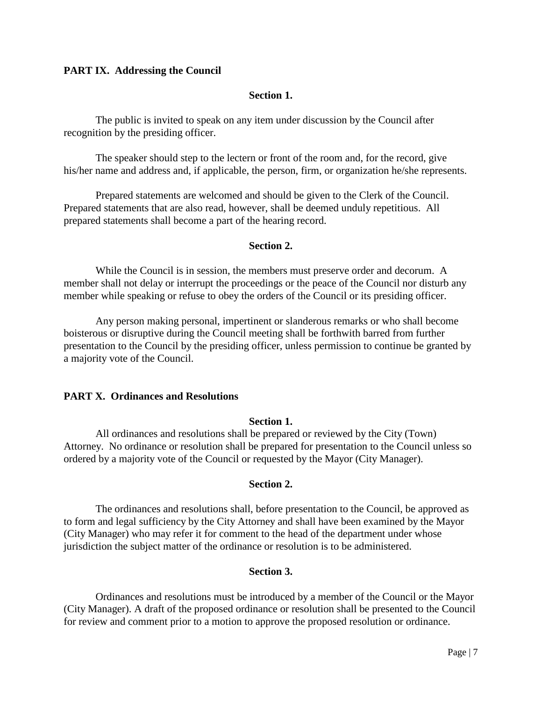## **PART IX. Addressing the Council**

#### **Section 1.**

The public is invited to speak on any item under discussion by the Council after recognition by the presiding officer.

The speaker should step to the lectern or front of the room and, for the record, give his/her name and address and, if applicable, the person, firm, or organization he/she represents.

Prepared statements are welcomed and should be given to the Clerk of the Council. Prepared statements that are also read, however, shall be deemed unduly repetitious. All prepared statements shall become a part of the hearing record.

#### **Section 2.**

While the Council is in session, the members must preserve order and decorum. A member shall not delay or interrupt the proceedings or the peace of the Council nor disturb any member while speaking or refuse to obey the orders of the Council or its presiding officer.

Any person making personal, impertinent or slanderous remarks or who shall become boisterous or disruptive during the Council meeting shall be forthwith barred from further presentation to the Council by the presiding officer, unless permission to continue be granted by a majority vote of the Council.

## **PART X. Ordinances and Resolutions**

#### **Section 1.**

All ordinances and resolutions shall be prepared or reviewed by the City (Town) Attorney. No ordinance or resolution shall be prepared for presentation to the Council unless so ordered by a majority vote of the Council or requested by the Mayor (City Manager).

## **Section 2.**

The ordinances and resolutions shall, before presentation to the Council, be approved as to form and legal sufficiency by the City Attorney and shall have been examined by the Mayor (City Manager) who may refer it for comment to the head of the department under whose jurisdiction the subject matter of the ordinance or resolution is to be administered.

#### **Section 3.**

Ordinances and resolutions must be introduced by a member of the Council or the Mayor (City Manager). A draft of the proposed ordinance or resolution shall be presented to the Council for review and comment prior to a motion to approve the proposed resolution or ordinance.